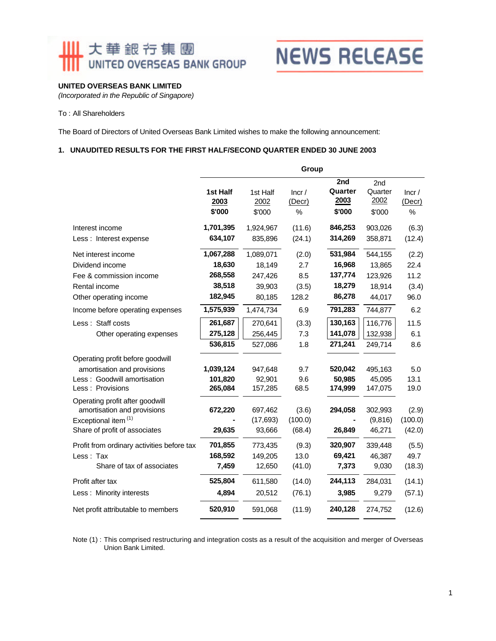### Ⅲ 大華銀行集團 UNITED OVERSEAS BANK GROUP



#### **UNITED OVERSEAS BANK LIMITED**

*(Incorporated in the Republic of Singapore)*

#### To : All Shareholders

The Board of Directors of United Overseas Bank Limited wishes to make the following announcement:

#### **1. UNAUDITED RESULTS FOR THE FIRST HALF/SECOND QUARTER ENDED 30 JUNE 2003**

|                                                                                                                         |                                          | Group                                    |                              |                                        |                                        |                                |  |
|-------------------------------------------------------------------------------------------------------------------------|------------------------------------------|------------------------------------------|------------------------------|----------------------------------------|----------------------------------------|--------------------------------|--|
|                                                                                                                         | 1st Half<br>2003<br>\$'000               | 1st Half<br>2002<br>\$'000               | lncr/<br>(Decr)<br>$\%$      | 2nd<br>Quarter<br>2003<br>\$'000       | 2nd<br>Quarter<br>2002<br>\$'000       | lncr/<br>(Decr)<br>%           |  |
| Interest income<br>Less : Interest expense                                                                              | 1,701,395<br>634,107                     | 1,924,967<br>835,896                     | (11.6)<br>(24.1)             | 846,253<br>314,269                     | 903,026<br>358,871                     | (6.3)<br>(12.4)                |  |
| Net interest income<br>Dividend income<br>Fee & commission income<br>Rental income                                      | 1,067,288<br>18,630<br>268,558<br>38,518 | 1,089,071<br>18,149<br>247,426<br>39,903 | (2.0)<br>2.7<br>8.5<br>(3.5) | 531,984<br>16,968<br>137,774<br>18,279 | 544,155<br>13,865<br>123,926<br>18,914 | (2.2)<br>22.4<br>11.2<br>(3.4) |  |
| Other operating income<br>Income before operating expenses                                                              | 182,945<br>1,575,939                     | 80,185<br>1,474,734                      | 128.2<br>6.9                 | 86,278<br>791,283                      | 44,017<br>744,877                      | 96.0<br>6.2                    |  |
| Less: Staff costs<br>Other operating expenses                                                                           | 261,687<br>275,128<br>536,815            | 270,641<br>256,445<br>527,086            | (3.3)<br>7.3<br>1.8          | 130,163<br>141,078<br>271,241          | 116,776<br>132,938<br>249,714          | 11.5<br>6.1<br>8.6             |  |
| Operating profit before goodwill<br>amortisation and provisions<br>Less: Goodwill amortisation<br>Less: Provisions      | 1,039,124<br>101,820<br>265,084          | 947.648<br>92,901<br>157,285             | 9.7<br>9.6<br>68.5           | 520,042<br>50.985<br>174,999           | 495.163<br>45,095<br>147,075           | 5.0<br>13.1<br>19.0            |  |
| Operating profit after goodwill<br>amortisation and provisions<br>Exceptional item (1)<br>Share of profit of associates | 672,220<br>29,635                        | 697,462<br>(17, 693)<br>93,666           | (3.6)<br>(100.0)<br>(68.4)   | 294,058<br>26,849                      | 302,993<br>(9,816)<br>46,271           | (2.9)<br>(100.0)<br>(42.0)     |  |
| Profit from ordinary activities before tax<br>Less: Tax<br>Share of tax of associates                                   | 701,855<br>168,592<br>7,459              | 773,435<br>149,205<br>12,650             | (9.3)<br>13.0<br>(41.0)      | 320,907<br>69,421<br>7,373             | 339,448<br>46,387<br>9,030             | (5.5)<br>49.7<br>(18.3)        |  |
| Profit after tax<br>Less: Minority interests                                                                            | 525,804<br>4,894                         | 611,580<br>20,512                        | (14.0)<br>(76.1)             | 244,113<br>3,985                       | 284,031<br>9,279                       | (14.1)<br>(57.1)               |  |
| Net profit attributable to members                                                                                      | 520,910                                  | 591,068                                  | (11.9)                       | 240,128                                | 274,752                                | (12.6)                         |  |

Note (1) : This comprised restructuring and integration costs as a result of the acquisition and merger of Overseas Union Bank Limited.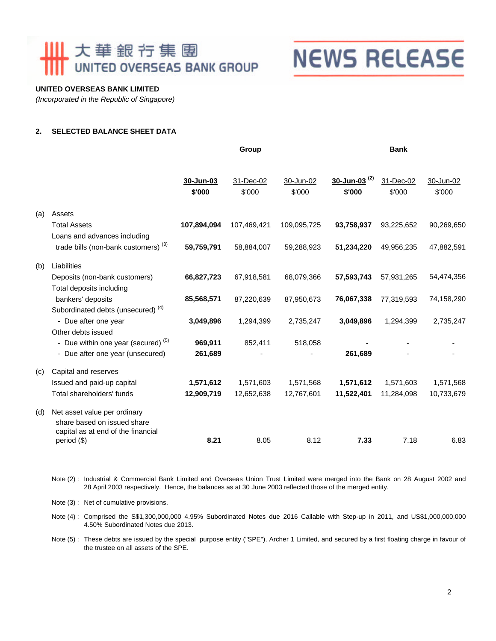## Ⅲ 大華銀行集團 UNITED OVERSEAS BANK GROUP

## **NEWS RELEASE**

#### **UNITED OVERSEAS BANK LIMITED**

*(Incorporated in the Republic of Singapore)*

#### **2. SELECTED BALANCE SHEET DATA**

|     |                                                                                                   | Group               |                     |                     | <b>Bank</b>                   |                     |                     |  |
|-----|---------------------------------------------------------------------------------------------------|---------------------|---------------------|---------------------|-------------------------------|---------------------|---------------------|--|
|     |                                                                                                   | 30-Jun-03<br>\$'000 | 31-Dec-02<br>\$'000 | 30-Jun-02<br>\$'000 | $30 - Jun-03^{(2)}$<br>\$'000 | 31-Dec-02<br>\$'000 | 30-Jun-02<br>\$'000 |  |
| (a) | Assets                                                                                            |                     |                     |                     |                               |                     |                     |  |
|     | <b>Total Assets</b>                                                                               | 107,894,094         | 107,469,421         | 109,095,725         | 93,758,937                    | 93,225,652          | 90,269,650          |  |
|     | Loans and advances including                                                                      |                     |                     |                     |                               |                     |                     |  |
|     | trade bills (non-bank customers) <sup>(3)</sup>                                                   | 59,759,791          | 58,884,007          | 59,288,923          | 51,234,220                    | 49,956,235          | 47,882,591          |  |
| (b) | Liabilities                                                                                       |                     |                     |                     |                               |                     |                     |  |
|     | Deposits (non-bank customers)                                                                     | 66,827,723          | 67,918,581          | 68,079,366          | 57,593,743                    | 57,931,265          | 54,474,356          |  |
|     | Total deposits including                                                                          |                     |                     |                     |                               |                     |                     |  |
|     | bankers' deposits                                                                                 | 85,568,571          | 87,220,639          | 87,950,673          | 76,067,338                    | 77,319,593          | 74,158,290          |  |
|     | Subordinated debts (unsecured) <sup>(4)</sup>                                                     |                     |                     |                     |                               |                     |                     |  |
|     | - Due after one year                                                                              | 3,049,896           | 1,294,399           | 2,735,247           | 3,049,896                     | 1,294,399           | 2,735,247           |  |
|     | Other debts issued                                                                                |                     |                     |                     |                               |                     |                     |  |
|     | - Due within one year (secured) <sup>(5)</sup>                                                    | 969,911             | 852,411             | 518,058             |                               |                     |                     |  |
|     | - Due after one year (unsecured)                                                                  | 261,689             |                     |                     | 261,689                       |                     |                     |  |
| (c) | Capital and reserves                                                                              |                     |                     |                     |                               |                     |                     |  |
|     | Issued and paid-up capital                                                                        | 1,571,612           | 1,571,603           | 1,571,568           | 1,571,612                     | 1,571,603           | 1,571,568           |  |
|     | Total shareholders' funds                                                                         | 12,909,719          | 12,652,638          | 12,767,601          | 11,522,401                    | 11,284,098          | 10,733,679          |  |
| (d) | Net asset value per ordinary<br>share based on issued share<br>capital as at end of the financial | 8.21                | 8.05                | 8.12                | 7.33                          | 7.18                | 6.83                |  |
|     | period (\$)                                                                                       |                     |                     |                     |                               |                     |                     |  |

Note (2) : Industrial & Commercial Bank Limited and Overseas Union Trust Limited were merged into the Bank on 28 August 2002 and 28 April 2003 respectively. Hence, the balances as at 30 June 2003 reflected those of the merged entity.

Note (3) : Net of cumulative provisions.

Note (4): Comprised the S\$1,300,000,000 4.95% Subordinated Notes due 2016 Callable with Step-up in 2011, and US\$1,000,000,000 4.50% Subordinated Notes due 2013.

Note (5) : These debts are issued by the special purpose entity ("SPE"), Archer 1 Limited, and secured by a first floating charge in favour of the trustee on all assets of the SPE.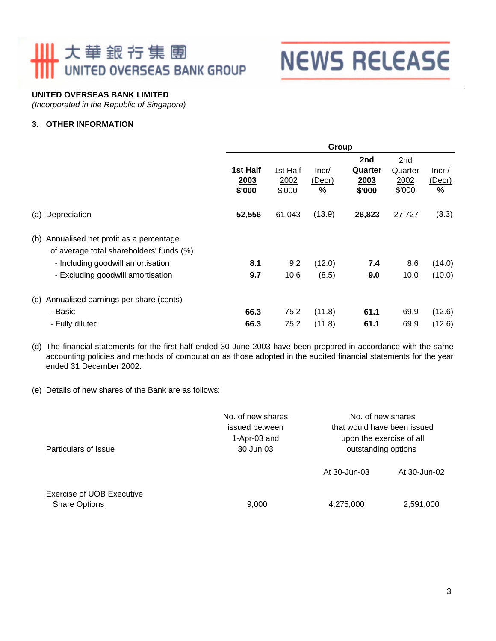## Ⅲ 大華銀行集團 UNITED OVERSEAS BANK GROUP

# **NEWS RELEASE**

#### **UNITED OVERSEAS BANK LIMITED**

*(Incorporated in the Republic of Singapore)*

#### **3. OTHER INFORMATION**

| Group                      |                            |                      |                                  |                                              |                            |
|----------------------------|----------------------------|----------------------|----------------------------------|----------------------------------------------|----------------------------|
| 1st Half<br>2003<br>\$'000 | 1st Half<br>2002<br>\$'000 | Incr/<br>(Decr)<br>% | 2nd<br>Quarter<br>2003<br>\$'000 | 2 <sub>nd</sub><br>Quarter<br>2002<br>\$'000 | lncr/<br>$($ Decr $)$<br>% |
| 52,556                     | 61,043                     | (13.9)               | 26,823                           | 27,727                                       | (3.3)                      |
|                            |                            |                      |                                  |                                              |                            |
| 8.1                        | 9.2                        | (12.0)               | 7.4                              | 8.6                                          | (14.0)                     |
| 9.7                        | 10.6                       | (8.5)                | 9.0                              | 10.0                                         | (10.0)                     |
|                            |                            |                      |                                  |                                              |                            |
| 66.3                       | 75.2                       | (11.8)               | 61.1                             | 69.9                                         | (12.6)                     |
| 66.3                       | 75.2                       | (11.8)               | 61.1                             | 69.9                                         | (12.6)                     |
|                            |                            |                      |                                  |                                              |                            |

(d) The financial statements for the first half ended 30 June 2003 have been prepared in accordance with the same accounting policies and methods of computation as those adopted in the audited financial statements for the year ended 31 December 2002.

(e) Details of new shares of the Bank are as follows:

| Particulars of Issue                              | No. of new shares<br>issued between<br>1-Apr-03 and<br>30 Jun 03 | No. of new shares<br>that would have been issued<br>upon the exercise of all<br>outstanding options |              |  |  |
|---------------------------------------------------|------------------------------------------------------------------|-----------------------------------------------------------------------------------------------------|--------------|--|--|
|                                                   |                                                                  | At 30-Jun-03                                                                                        | At 30-Jun-02 |  |  |
| Exercise of UOB Executive<br><b>Share Options</b> | 9,000                                                            | 4,275,000                                                                                           | 2,591,000    |  |  |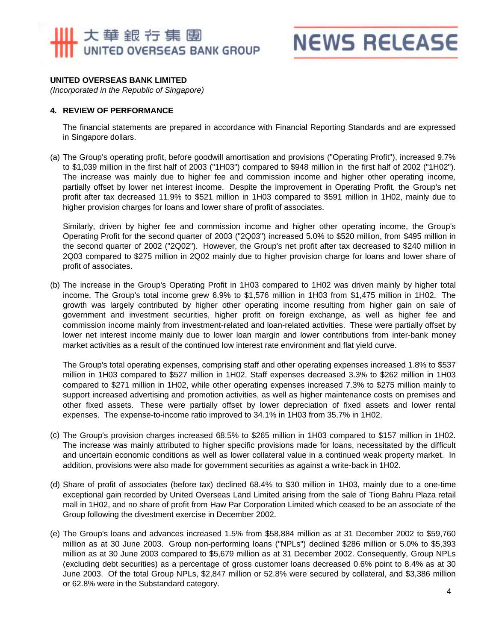## 大華銀行集團 UNITED OVERSEAS BANK GROUP

## **NEWS RELEASE**

#### **UNITED OVERSEAS BANK LIMITED**

*(Incorporated in the Republic of Singapore)*

#### **4. REVIEW OF PERFORMANCE**

The financial statements are prepared in accordance with Financial Reporting Standards and are expressed in Singapore dollars.

(a) The Group's operating profit, before goodwill amortisation and provisions ("Operating Profit"), increased 9.7% to \$1,039 million in the first half of 2003 ("1H03") compared to \$948 million in the first half of 2002 ("1H02"). The increase was mainly due to higher fee and commission income and higher other operating income, partially offset by lower net interest income. Despite the improvement in Operating Profit, the Group's net profit after tax decreased 11.9% to \$521 million in 1H03 compared to \$591 million in 1H02, mainly due to higher provision charges for loans and lower share of profit of associates.

Similarly, driven by higher fee and commission income and higher other operating income, the Group's Operating Profit for the second quarter of 2003 ("2Q03") increased 5.0% to \$520 million, from \$495 million in the second quarter of 2002 ("2Q02"). However, the Group's net profit after tax decreased to \$240 million in 2Q03 compared to \$275 million in 2Q02 mainly due to higher provision charge for loans and lower share of profit of associates.

(b) The increase in the Group's Operating Profit in 1H03 compared to 1H02 was driven mainly by higher total income. The Group's total income grew 6.9% to \$1,576 million in 1H03 from \$1,475 million in 1H02. The growth was largely contributed by higher other operating income resulting from higher gain on sale of government and investment securities, higher profit on foreign exchange, as well as higher fee and commission income mainly from investment-related and loan-related activities. These were partially offset by lower net interest income mainly due to lower loan margin and lower contributions from inter-bank money market activities as a result of the continued low interest rate environment and flat yield curve.

The Group's total operating expenses, comprising staff and other operating expenses increased 1.8% to \$537 million in 1H03 compared to \$527 million in 1H02. Staff expenses decreased 3.3% to \$262 million in 1H03 compared to \$271 million in 1H02, while other operating expenses increased 7.3% to \$275 million mainly to support increased advertising and promotion activities, as well as higher maintenance costs on premises and other fixed assets. These were partially offset by lower depreciation of fixed assets and lower rental expenses. The expense-to-income ratio improved to 34.1% in 1H03 from 35.7% in 1H02.

- (c) The Group's provision charges increased 68.5% to \$265 million in 1H03 compared to \$157 million in 1H02. The increase was mainly attributed to higher specific provisions made for loans, necessitated by the difficult and uncertain economic conditions as well as lower collateral value in a continued weak property market. In addition, provisions were also made for government securities as against a write-back in 1H02.
- (d) Share of profit of associates (before tax) declined 68.4% to \$30 million in 1H03, mainly due to a one-time exceptional gain recorded by United Overseas Land Limited arising from the sale of Tiong Bahru Plaza retail mall in 1H02, and no share of profit from Haw Par Corporation Limited which ceased to be an associate of the Group following the divestment exercise in December 2002.
- (e) The Group's loans and advances increased 1.5% from \$58,884 million as at 31 December 2002 to \$59,760 million as at 30 June 2003. Group non-performing loans ("NPLs") declined \$286 million or 5.0% to \$5,393 million as at 30 June 2003 compared to \$5,679 million as at 31 December 2002. Consequently, Group NPLs (excluding debt securities) as a percentage of gross customer loans decreased 0.6% point to 8.4% as at 30 June 2003. Of the total Group NPLs, \$2,847 million or 52.8% were secured by collateral, and \$3,386 million or 62.8% were in the Substandard category.